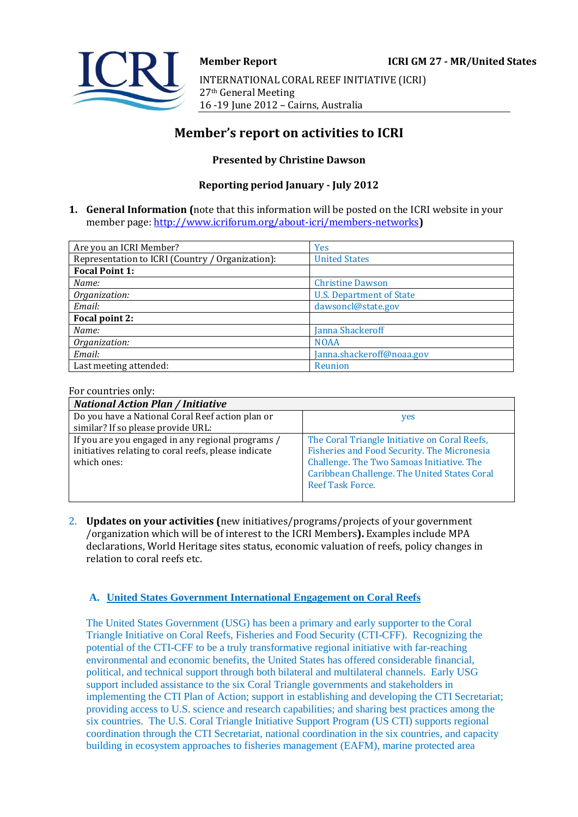

# **Member's report on activities to ICRI**

## **Presented by Christine Dawson**

# **Reporting period January - July 2012**

**1. General Information (**note that this information will be posted on the ICRI website in your member page[: http://www.icriforum.org/about-icri/members-networks](http://www.icriforum.org/about-icri/members-networks)**)** 

| Are you an ICRI Member?                          | <b>Yes</b>                      |
|--------------------------------------------------|---------------------------------|
| Representation to ICRI (Country / Organization): | <b>United States</b>            |
| <b>Focal Point 1:</b>                            |                                 |
| Name:                                            | <b>Christine Dawson</b>         |
| Organization:                                    | <b>U.S. Department of State</b> |
| Email:                                           | dawsoncl@state.gov              |
| Focal point 2:                                   |                                 |
| Name:                                            | Janna Shackeroff                |
| Organization:                                    | <b>NOAA</b>                     |
| Email:                                           | Janna.shackeroff@noaa.gov       |
| Last meeting attended:                           | Reunion                         |

#### For countries only:

| <b>National Action Plan / Initiative</b>             |                                               |
|------------------------------------------------------|-----------------------------------------------|
| Do you have a National Coral Reef action plan or     | yes                                           |
| similar? If so please provide URL:                   |                                               |
| If you are you engaged in any regional programs /    | The Coral Triangle Initiative on Coral Reefs, |
| initiatives relating to coral reefs, please indicate | Fisheries and Food Security. The Micronesia   |
| which ones:                                          | Challenge. The Two Samoas Initiative. The     |
|                                                      | Caribbean Challenge. The United States Coral  |
|                                                      | Reef Task Force.                              |
|                                                      |                                               |

2. **Updates on your activities (**new initiatives/programs/projects of your government /organization which will be of interest to the ICRI Members**).** Examples include MPA declarations, World Heritage sites status, economic valuation of reefs, policy changes in relation to coral reefs etc.

## **A. United States Government International Engagement on Coral Reefs**

The United States Government (USG) has been a primary and early supporter to the Coral Triangle Initiative on Coral Reefs, Fisheries and Food Security (CTI-CFF). Recognizing the potential of the CTI-CFF to be a truly transformative regional initiative with far-reaching environmental and economic benefits, the United States has offered considerable financial, political, and technical support through both bilateral and multilateral channels. Early USG support included assistance to the six Coral Triangle governments and stakeholders in implementing the CTI Plan of Action; support in establishing and developing the CTI Secretariat; providing access to U.S. science and research capabilities; and sharing best practices among the six countries. The U.S. Coral Triangle Initiative Support Program (US CTI) supports regional coordination through the CTI Secretariat, national coordination in the six countries, and capacity building in ecosystem approaches to fisheries management (EAFM), marine protected area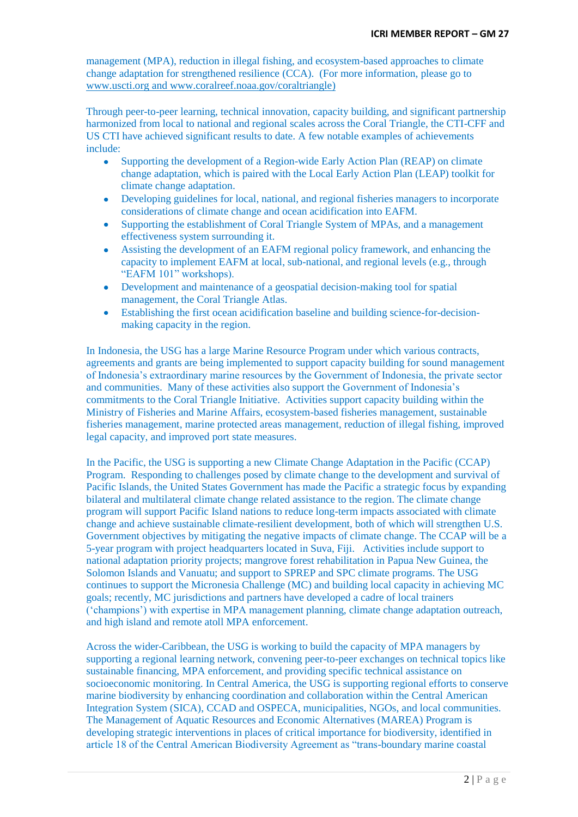management (MPA), reduction in illegal fishing, and ecosystem-based approaches to climate change adaptation for strengthened resilience (CCA). (For more information, please go to [www.uscti.org](http://www.uscti.org/) and [www.coralreef.noaa.gov/coraltriangle\)](http://www.coralreef.noaa.gov/coraltriangle)

Through peer-to-peer learning, technical innovation, capacity building, and significant partnership harmonized from local to national and regional scales across the Coral Triangle, the CTI-CFF and US CTI have achieved significant results to date. A few notable examples of achievements include:

- Supporting the development of a Region-wide Early Action Plan (REAP) on climate change adaptation, which is paired with the Local Early Action Plan (LEAP) toolkit for climate change adaptation.
- Developing guidelines for local, national, and regional fisheries managers to incorporate  $\bullet$ considerations of climate change and ocean acidification into EAFM.
- Supporting the establishment of Coral Triangle System of MPAs, and a management  $\bullet$ effectiveness system surrounding it.
- Assisting the development of an EAFM regional policy framework, and enhancing the  $\bullet$ capacity to implement EAFM at local, sub-national, and regional levels (e.g., through "EAFM 101" workshops).
- Development and maintenance of a geospatial decision-making tool for spatial  $\bullet$ management, the Coral Triangle Atlas.
- Establishing the first ocean acidification baseline and building science-for-decision- $\bullet$ making capacity in the region.

In Indonesia, the USG has a large Marine Resource Program under which various contracts, agreements and grants are being implemented to support capacity building for sound management of Indonesia"s extraordinary marine resources by the Government of Indonesia, the private sector and communities. Many of these activities also support the Government of Indonesia"s commitments to the Coral Triangle Initiative. Activities support capacity building within the Ministry of Fisheries and Marine Affairs, ecosystem-based fisheries management, sustainable fisheries management, marine protected areas management, reduction of illegal fishing, improved legal capacity, and improved port state measures.

In the Pacific, the USG is supporting a new Climate Change Adaptation in the Pacific (CCAP) Program. Responding to challenges posed by climate change to the development and survival of Pacific Islands, the United States Government has made the Pacific a strategic focus by expanding bilateral and multilateral climate change related assistance to the region. The climate change program will support Pacific Island nations to reduce long-term impacts associated with climate change and achieve sustainable climate-resilient development, both of which will strengthen U.S. Government objectives by mitigating the negative impacts of climate change. The CCAP will be a 5-year program with project headquarters located in Suva, Fiji. Activities include support to national adaptation priority projects; mangrove forest rehabilitation in Papua New Guinea, the Solomon Islands and Vanuatu; and support to SPREP and SPC climate programs. The USG continues to support the Micronesia Challenge (MC) and building local capacity in achieving MC goals; recently, MC jurisdictions and partners have developed a cadre of local trainers ("champions") with expertise in MPA management planning, climate change adaptation outreach, and high island and remote atoll MPA enforcement.

Across the wider-Caribbean, the USG is working to build the capacity of MPA managers by supporting a regional learning network, convening peer-to-peer exchanges on technical topics like sustainable financing, MPA enforcement, and providing specific technical assistance on socioeconomic monitoring. In Central America, the USG is supporting regional efforts to conserve marine biodiversity by enhancing coordination and collaboration within the Central American Integration System (SICA), CCAD and OSPECA, municipalities, NGOs, and local communities. The Management of Aquatic Resources and Economic Alternatives (MAREA) Program is developing strategic interventions in places of critical importance for biodiversity, identified in article 18 of the Central American Biodiversity Agreement as "trans-boundary marine coastal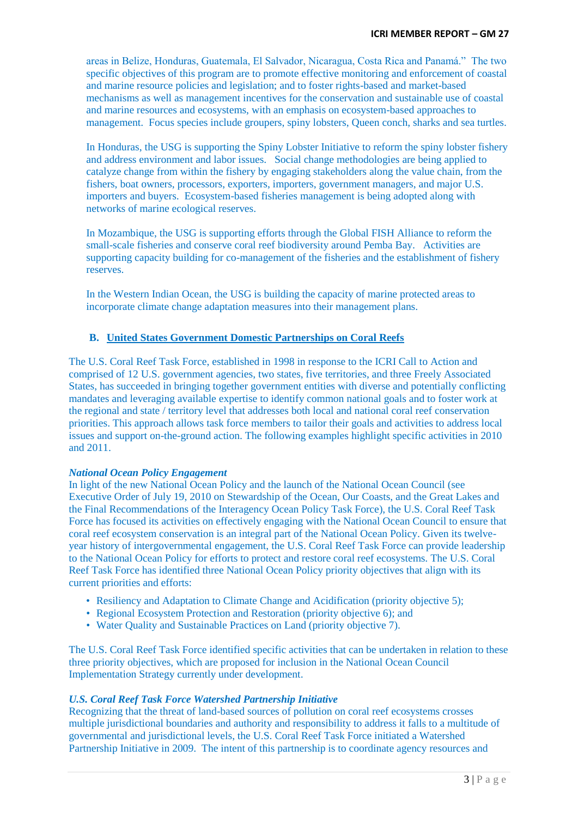areas in Belize, Honduras, Guatemala, El Salvador, Nicaragua, Costa Rica and Panamá." The two specific objectives of this program are to promote effective monitoring and enforcement of coastal and marine resource policies and legislation; and to foster rights-based and market-based mechanisms as well as management incentives for the conservation and sustainable use of coastal and marine resources and ecosystems, with an emphasis on ecosystem-based approaches to management. Focus species include groupers, spiny lobsters, Queen conch, sharks and sea turtles.

In Honduras, the USG is supporting the Spiny Lobster Initiative to reform the spiny lobster fishery and address environment and labor issues. Social change methodologies are being applied to catalyze change from within the fishery by engaging stakeholders along the value chain, from the fishers, boat owners, processors, exporters, importers, government managers, and major U.S. importers and buyers. Ecosystem-based fisheries management is being adopted along with networks of marine ecological reserves.

In Mozambique, the USG is supporting efforts through the Global FISH Alliance to reform the small-scale fisheries and conserve coral reef biodiversity around Pemba Bay. Activities are supporting capacity building for co-management of the fisheries and the establishment of fishery reserves.

In the Western Indian Ocean, the USG is building the capacity of marine protected areas to incorporate climate change adaptation measures into their management plans.

### **B. United States Government Domestic Partnerships on Coral Reefs**

The U.S. Coral Reef Task Force, established in 1998 in response to the ICRI Call to Action and comprised of 12 U.S. government agencies, two states, five territories, and three Freely Associated States, has succeeded in bringing together government entities with diverse and potentially conflicting mandates and leveraging available expertise to identify common national goals and to foster work at the regional and state / territory level that addresses both local and national coral reef conservation priorities. This approach allows task force members to tailor their goals and activities to address local issues and support on-the-ground action. The following examples highlight specific activities in 2010 and 2011.

#### *National Ocean Policy Engagement*

In light of the new National Ocean Policy and the launch of the National Ocean Council (see Executive Order of July 19, 2010 on Stewardship of the Ocean, Our Coasts, and the Great Lakes and the Final Recommendations of the Interagency Ocean Policy Task Force), the U.S. Coral Reef Task Force has focused its activities on effectively engaging with the National Ocean Council to ensure that coral reef ecosystem conservation is an integral part of the National Ocean Policy. Given its twelveyear history of intergovernmental engagement, the U.S. Coral Reef Task Force can provide leadership to the National Ocean Policy for efforts to protect and restore coral reef ecosystems. The U.S. Coral Reef Task Force has identified three National Ocean Policy priority objectives that align with its current priorities and efforts:

- Resiliency and Adaptation to Climate Change and Acidification (priority objective 5);
- Regional Ecosystem Protection and Restoration (priority objective 6); and
- Water Quality and Sustainable Practices on Land (priority objective 7).

The U.S. Coral Reef Task Force identified specific activities that can be undertaken in relation to these three priority objectives, which are proposed for inclusion in the National Ocean Council Implementation Strategy currently under development.

### *U.S. Coral Reef Task Force Watershed Partnership Initiative*

Recognizing that the threat of land-based sources of pollution on coral reef ecosystems crosses multiple jurisdictional boundaries and authority and responsibility to address it falls to a multitude of governmental and jurisdictional levels, the U.S. Coral Reef Task Force initiated a Watershed Partnership Initiative in 2009. The intent of this partnership is to coordinate agency resources and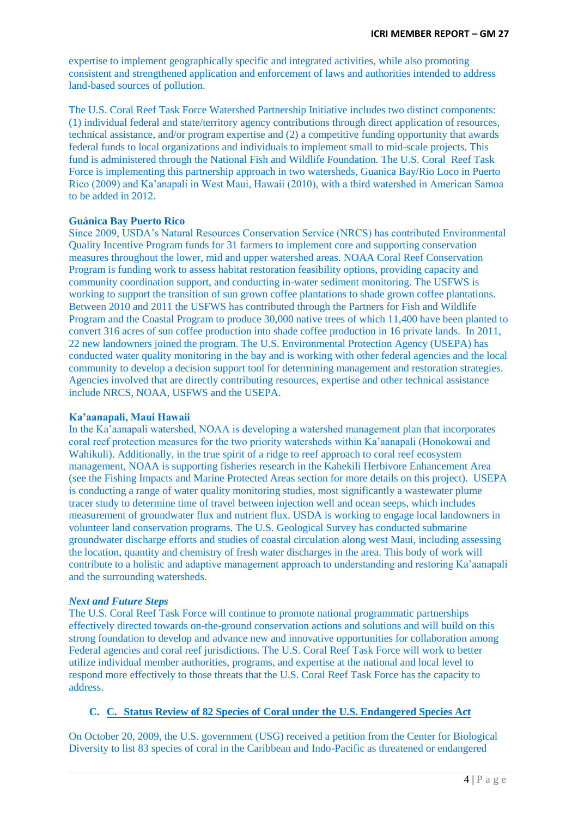expertise to implement geographically specific and integrated activities, while also promoting consistent and strengthened application and enforcement of laws and authorities intended to address land-based sources of pollution.

The U.S. Coral Reef Task Force Watershed Partnership Initiative includes two distinct components: (1) individual federal and state/territory agency contributions through direct application of resources, technical assistance, and/or program expertise and (2) a competitive funding opportunity that awards federal funds to local organizations and individuals to implement small to mid-scale projects. This fund is administered through the National Fish and Wildlife Foundation. The U.S. Coral Reef Task Force is implementing this partnership approach in two watersheds, Guanica Bay/Rio Loco in Puerto Rico (2009) and Ka"anapali in West Maui, Hawaii (2010), with a third watershed in American Samoa to be added in 2012.

#### **Guánica Bay Puerto Rico**

Since 2009, USDA"s Natural Resources Conservation Service (NRCS) has contributed Environmental Quality Incentive Program funds for 31 farmers to implement core and supporting conservation measures throughout the lower, mid and upper watershed areas. NOAA Coral Reef Conservation Program is funding work to assess habitat restoration feasibility options, providing capacity and community coordination support, and conducting in-water sediment monitoring. The USFWS is working to support the transition of sun grown coffee plantations to shade grown coffee plantations. Between 2010 and 2011 the USFWS has contributed through the Partners for Fish and Wildlife Program and the Coastal Program to produce 30,000 native trees of which 11,400 have been planted to convert 316 acres of sun coffee production into shade coffee production in 16 private lands. In 2011, 22 new landowners joined the program. The U.S. Environmental Protection Agency (USEPA) has conducted water quality monitoring in the bay and is working with other federal agencies and the local community to develop a decision support tool for determining management and restoration strategies. Agencies involved that are directly contributing resources, expertise and other technical assistance include NRCS, NOAA, USFWS and the USEPA.

#### **Ka'aanapali, Maui Hawaii**

In the Ka"aanapali watershed, NOAA is developing a watershed management plan that incorporates coral reef protection measures for the two priority watersheds within Ka"aanapali (Honokowai and Wahikuli). Additionally, in the true spirit of a ridge to reef approach to coral reef ecosystem management, NOAA is supporting fisheries research in the Kahekili Herbivore Enhancement Area (see the Fishing Impacts and Marine Protected Areas section for more details on this project). USEPA is conducting a range of water quality monitoring studies, most significantly a wastewater plume tracer study to determine time of travel between injection well and ocean seeps, which includes measurement of groundwater flux and nutrient flux. USDA is working to engage local landowners in volunteer land conservation programs. The U.S. Geological Survey has conducted submarine groundwater discharge efforts and studies of coastal circulation along west Maui, including assessing the location, quantity and chemistry of fresh water discharges in the area. This body of work will contribute to a holistic and adaptive management approach to understanding and restoring Ka"aanapali and the surrounding watersheds.

#### *Next and Future Steps*

The U.S. Coral Reef Task Force will continue to promote national programmatic partnerships effectively directed towards on-the-ground conservation actions and solutions and will build on this strong foundation to develop and advance new and innovative opportunities for collaboration among Federal agencies and coral reef jurisdictions. The U.S. Coral Reef Task Force will work to better utilize individual member authorities, programs, and expertise at the national and local level to respond more effectively to those threats that the U.S. Coral Reef Task Force has the capacity to address.

### **C. C. Status Review of 82 Species of Coral under the U.S. Endangered Species Act**

On October 20, 2009, the U.S. government (USG) received a petition from the Center for Biological Diversity to list 83 species of coral in the Caribbean and Indo-Pacific as threatened or endangered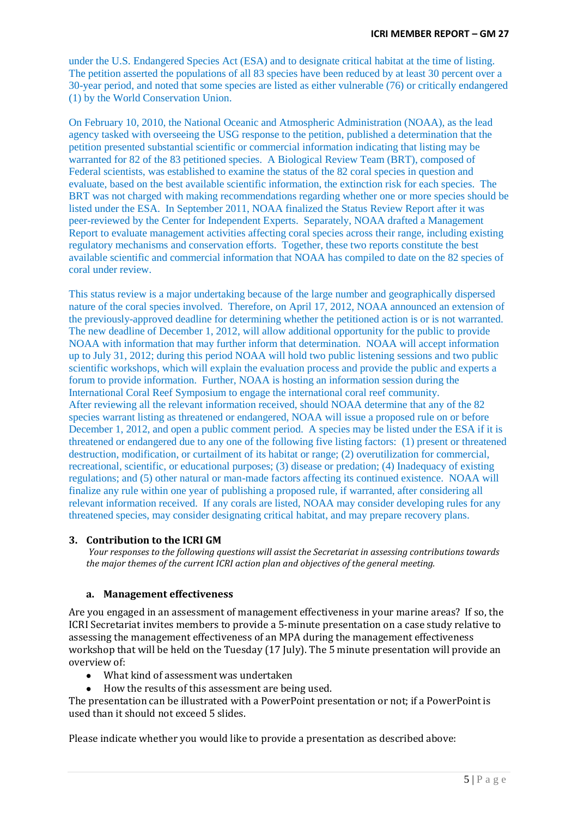under the U.S. Endangered Species Act (ESA) and to designate critical habitat at the time of listing. The petition asserted the populations of all 83 species have been reduced by at least 30 percent over a 30-year period, and noted that some species are listed as either vulnerable (76) or critically endangered (1) by the World Conservation Union.

On February 10, 2010, the National Oceanic and Atmospheric Administration (NOAA), as the lead agency tasked with overseeing the USG response to the petition, published a determination that the petition presented substantial scientific or commercial information indicating that listing may be warranted for 82 of the 83 petitioned species. A Biological Review Team (BRT), composed of Federal scientists, was established to examine the status of the 82 coral species in question and evaluate, based on the best available scientific information, the extinction risk for each species. The BRT was not charged with making recommendations regarding whether one or more species should be listed under the ESA. In September 2011, NOAA finalized the Status Review Report after it was peer-reviewed by the Center for Independent Experts. Separately, NOAA drafted a Management Report to evaluate management activities affecting coral species across their range, including existing regulatory mechanisms and conservation efforts. Together, these two reports constitute the best available scientific and commercial information that NOAA has compiled to date on the 82 species of coral under review.

This status review is a major undertaking because of the large number and geographically dispersed nature of the coral species involved. Therefore, on April 17, 2012, NOAA announced an extension of the previously-approved deadline for determining whether the petitioned action is or is not warranted. The new deadline of December 1, 2012, will allow additional opportunity for the public to provide NOAA with information that may further inform that determination. NOAA will accept information up to July 31, 2012; during this period NOAA will hold two public listening sessions and two public scientific workshops, which will explain the evaluation process and provide the public and experts a forum to provide information. Further, NOAA is hosting an information session during the International Coral Reef Symposium to engage the international coral reef community. After reviewing all the relevant information received, should NOAA determine that any of the 82 species warrant listing as threatened or endangered, NOAA will issue a proposed rule on or before December 1, 2012, and open a public comment period. A species may be listed under the ESA if it is threatened or endangered due to any one of the following five listing factors: (1) present or threatened destruction, modification, or curtailment of its habitat or range; (2) overutilization for commercial, recreational, scientific, or educational purposes; (3) disease or predation; (4) Inadequacy of existing regulations; and (5) other natural or man-made factors affecting its continued existence. NOAA will finalize any rule within one year of publishing a proposed rule, if warranted, after considering all relevant information received. If any corals are listed, NOAA may consider developing rules for any threatened species, may consider designating critical habitat, and may prepare recovery plans.

### **3. Contribution to the ICRI GM**

*Your responses to the following questions will assist the Secretariat in assessing contributions towards the major themes of the current ICRI action plan and objectives of the general meeting.*

#### **a. Management effectiveness**

Are you engaged in an assessment of management effectiveness in your marine areas? If so, the ICRI Secretariat invites members to provide a 5-minute presentation on a case study relative to assessing the management effectiveness of an MPA during the management effectiveness workshop that will be held on the Tuesday (17 July). The 5 minute presentation will provide an overview of:

- What kind of assessment was undertaken
- How the results of this assessment are being used.

The presentation can be illustrated with a PowerPoint presentation or not; if a PowerPoint is used than it should not exceed 5 slides.

Please indicate whether you would like to provide a presentation as described above: